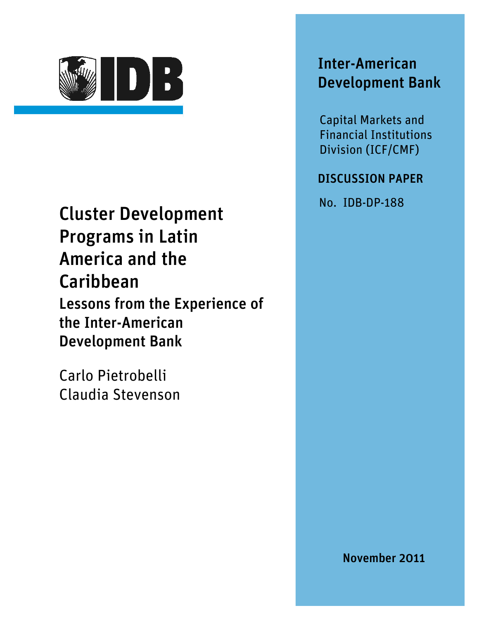

## Cluster Development Programs in Latin America and the Caribbean Lessons from the Experience of the Inter-American Development Bank

Carlo Pietrobelli Claudia Stevenson

## Inter-American Development Bank

Capital Markets and Financial Institutions Division (ICF/CMF)

### DISCUSSION PAPER

No. IDB-DP-188

November 2011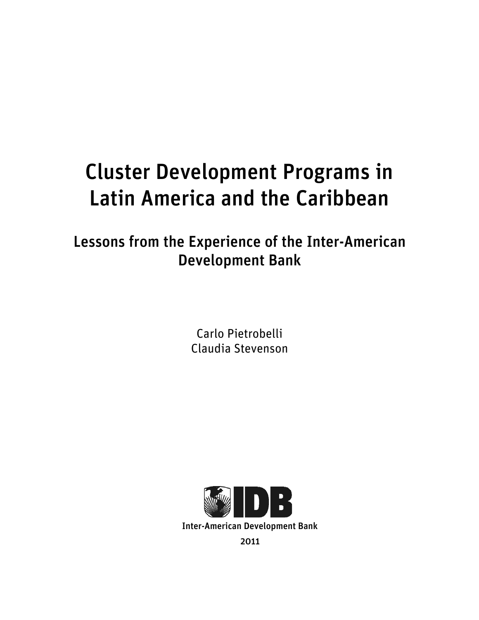# Cluster Development Programs in Latin America and the Caribbean

Lessons from the Experience of the Inter-American Development Bank

> Carlo Pietrobelli Claudia Stevenson

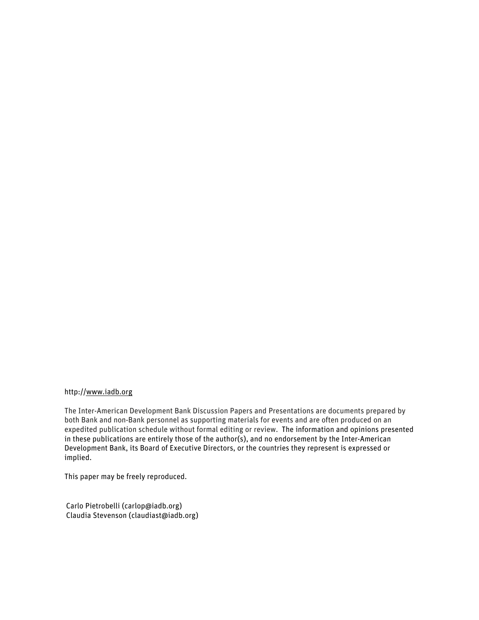#### http://www.iadb.org

The Inter-American Development Bank Discussion Papers and Presentations are documents prepared by both Bank and non-Bank personnel as supporting materials for events and are often produced on an expedited publication schedule without formal editing or review. The information and opinions presented in these publications are entirely those of the author(s), and no endorsement by the Inter-American Development Bank, its Board of Executive Directors, or the countries they represent is expressed or implied.

This paper may be freely reproduced.

Carlo Pietrobelli (carlop@iadb.org) Claudia Stevenson (claudiast@iadb.org)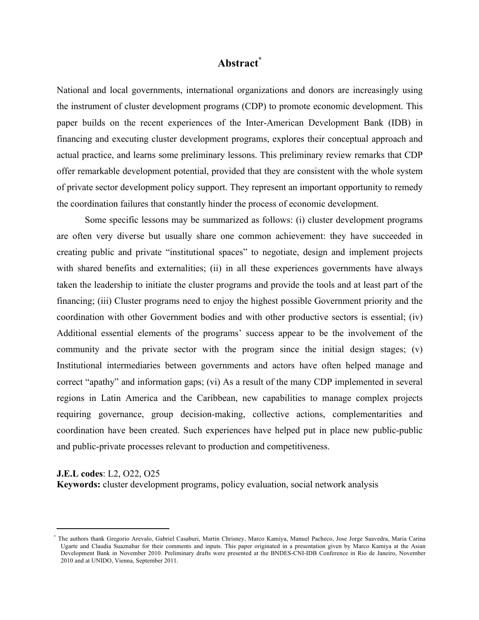#### **Abstract\***

National and local governments, international organizations and donors are increasingly using the instrument of cluster development programs (CDP) to promote economic development. This paper builds on the recent experiences of the Inter-American Development Bank (IDB) in financing and executing cluster development programs, explores their conceptual approach and actual practice, and learns some preliminary lessons. This preliminary review remarks that CDP offer remarkable development potential, provided that they are consistent with the whole system of private sector development policy support. They represent an important opportunity to remedy the coordination failures that constantly hinder the process of economic development.

Some specific lessons may be summarized as follows: (i) cluster development programs are often very diverse but usually share one common achievement: they have succeeded in creating public and private "institutional spaces" to negotiate, design and implement projects with shared benefits and externalities; (ii) in all these experiences governments have always taken the leadership to initiate the cluster programs and provide the tools and at least part of the financing; (iii) Cluster programs need to enjoy the highest possible Government priority and the coordination with other Government bodies and with other productive sectors is essential; (iv) Additional essential elements of the programs' success appear to be the involvement of the community and the private sector with the program since the initial design stages; (v) Institutional intermediaries between governments and actors have often helped manage and correct "apathy" and information gaps; (vi) As a result of the many CDP implemented in several regions in Latin America and the Caribbean, new capabilities to manage complex projects requiring governance, group decision-making, collective actions, complementarities and coordination have been created. Such experiences have helped put in place new public-public and public-private processes relevant to production and competitiveness.

**J.E.L codes**: L2, O22, O25

!!!!!!!!!!!!!!!!!!!!!!!!!!!!!!!!!!!!!!!!!!!!!!!!!!!!!!!!!!!!

**Keywords:** cluster development programs, policy evaluation, social network analysis

<sup>\*</sup> The authors thank Gregorio Arevalo, Gabriel Casaburi, Martin Chrisney, Marco Kamiya, Manuel Pacheco, Jose Jorge Saavedra, Maria Carina Ugarte and Claudia Suaznabar for their comments and inputs. This paper originated in a presentation given by Marco Kamiya at the Asian Development Bank in November 2010. Preliminary drafts were presented at the BNDES-CNI-IDB Conference in Rio de Janeiro, November 2010 and at UNIDO, Vienna, September 2011.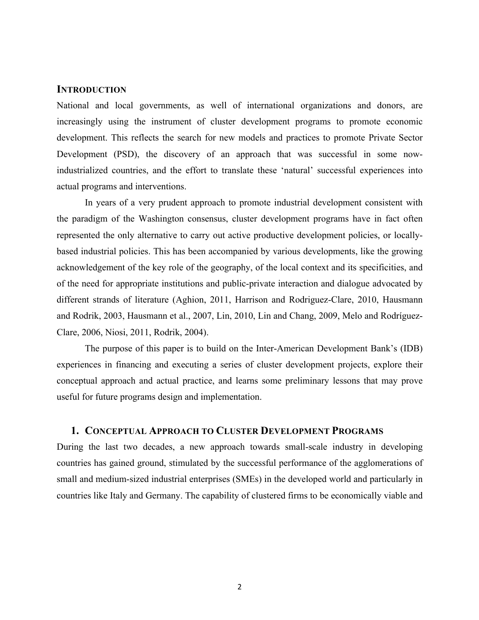#### **INTRODUCTION**

National and local governments, as well of international organizations and donors, are increasingly using the instrument of cluster development programs to promote economic development. This reflects the search for new models and practices to promote Private Sector Development (PSD), the discovery of an approach that was successful in some nowindustrialized countries, and the effort to translate these 'natural' successful experiences into actual programs and interventions.

In years of a very prudent approach to promote industrial development consistent with the paradigm of the Washington consensus, cluster development programs have in fact often represented the only alternative to carry out active productive development policies, or locallybased industrial policies. This has been accompanied by various developments, like the growing acknowledgement of the key role of the geography, of the local context and its specificities, and of the need for appropriate institutions and public-private interaction and dialogue advocated by different strands of literature (Aghion, 2011, Harrison and Rodriguez-Clare, 2010, Hausmann and Rodrik, 2003, Hausmann et al., 2007, Lin, 2010, Lin and Chang, 2009, Melo and Rodríguez-Clare, 2006, Niosi, 2011, Rodrik, 2004).

The purpose of this paper is to build on the Inter-American Development Bank's (IDB) experiences in financing and executing a series of cluster development projects, explore their conceptual approach and actual practice, and learns some preliminary lessons that may prove useful for future programs design and implementation.

#### **1. CONCEPTUAL APPROACH TO CLUSTER DEVELOPMENT PROGRAMS**

During the last two decades, a new approach towards small-scale industry in developing countries has gained ground, stimulated by the successful performance of the agglomerations of small and medium-sized industrial enterprises (SMEs) in the developed world and particularly in countries like Italy and Germany. The capability of clustered firms to be economically viable and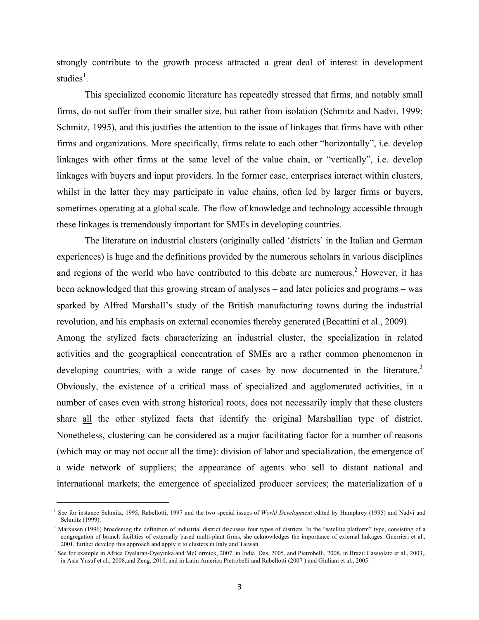strongly contribute to the growth process attracted a great deal of interest in development studies<sup>1</sup>.

This specialized economic literature has repeatedly stressed that firms, and notably small firms, do not suffer from their smaller size, but rather from isolation (Schmitz and Nadvi, 1999; Schmitz, 1995), and this justifies the attention to the issue of linkages that firms have with other firms and organizations. More specifically, firms relate to each other "horizontally", i.e. develop linkages with other firms at the same level of the value chain, or "vertically", i.e. develop linkages with buyers and input providers. In the former case, enterprises interact within clusters, whilst in the latter they may participate in value chains, often led by larger firms or buyers, sometimes operating at a global scale. The flow of knowledge and technology accessible through these linkages is tremendously important for SMEs in developing countries.

The literature on industrial clusters (originally called 'districts' in the Italian and German experiences) is huge and the definitions provided by the numerous scholars in various disciplines and regions of the world who have contributed to this debate are numerous. <sup>2</sup> However, it has been acknowledged that this growing stream of analyses – and later policies and programs – was sparked by Alfred Marshall's study of the British manufacturing towns during the industrial revolution, and his emphasis on external economies thereby generated (Becattini et al., 2009).

Among the stylized facts characterizing an industrial cluster, the specialization in related activities and the geographical concentration of SMEs are a rather common phenomenon in developing countries, with a wide range of cases by now documented in the literature.<sup>3</sup> Obviously, the existence of a critical mass of specialized and agglomerated activities, in a number of cases even with strong historical roots, does not necessarily imply that these clusters share all the other stylized facts that identify the original Marshallian type of district. Nonetheless, clustering can be considered as a major facilitating factor for a number of reasons (which may or may not occur all the time): division of labor and specialization, the emergence of a wide network of suppliers; the appearance of agents who sell to distant national and international markets; the emergence of specialized producer services; the materialization of a

!!!!!!!!!!!!!!!!!!!!!!!!!!!!!!!!!!!!!!!!!!!!!!!!!!!!!!!!!!!!

<sup>1</sup> See for instance Schmitz, 1995, Rabellotti, 1997 and the two special issues of *World Development* edited by Humphrey (1995) and Nadvi and Schmitz (1999).

<sup>&</sup>lt;sup>2</sup> Markusen (1996) broadening the definition of industrial district discusses four types of districts. In the "satellite platform" type, consisting of a congregation of branch facilities of externally based multi-plant firms, she acknowledges the importance of external linkages. Guerrieri et al., 2001, further develop this approach and apply it to clusters in Italy and Taiwan.

<sup>&</sup>lt;sup>3</sup> See for example in Africa Oyelaran-Oyeyinka and McCormick, 2007, in India Das, 2005, and Pietrobelli, 2008, in Brazil Cassiolato et al., 2003, in Asia Yusuf et al., 2008,and Zeng, 2010, and in Latin America Pietrobelli and Rabellotti (2007 ) and Giuliani et al., 2005.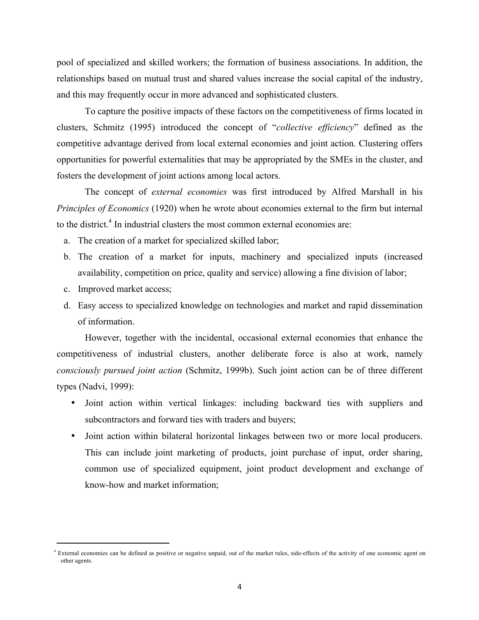pool of specialized and skilled workers; the formation of business associations. In addition, the relationships based on mutual trust and shared values increase the social capital of the industry, and this may frequently occur in more advanced and sophisticated clusters.

To capture the positive impacts of these factors on the competitiveness of firms located in clusters, Schmitz (1995) introduced the concept of "*collective efficiency*" defined as the competitive advantage derived from local external economies and joint action. Clustering offers opportunities for powerful externalities that may be appropriated by the SMEs in the cluster, and fosters the development of joint actions among local actors.

The concept of *external economies* was first introduced by Alfred Marshall in his *Principles of Economics* (1920) when he wrote about economies external to the firm but internal to the district.<sup>4</sup> In industrial clusters the most common external economies are:

- a. The creation of a market for specialized skilled labor;
- b. The creation of a market for inputs, machinery and specialized inputs (increased availability, competition on price, quality and service) allowing a fine division of labor;
- c. Improved market access;

!!!!!!!!!!!!!!!!!!!!!!!!!!!!!!!!!!!!!!!!!!!!!!!!!!!!!!!!!!!!

d. Easy access to specialized knowledge on technologies and market and rapid dissemination of information.

However, together with the incidental, occasional external economies that enhance the competitiveness of industrial clusters, another deliberate force is also at work, namely *consciously pursued joint action* (Schmitz, 1999b). Such joint action can be of three different types (Nadvi, 1999):

- Joint action within vertical linkages: including backward ties with suppliers and subcontractors and forward ties with traders and buyers;
- Joint action within bilateral horizontal linkages between two or more local producers. This can include joint marketing of products, joint purchase of input, order sharing, common use of specialized equipment, joint product development and exchange of know-how and market information;

<sup>&</sup>lt;sup>4</sup> External economies can be defined as positive or negative unpaid, out of the market rules, side-effects of the activity of one economic agent on other agents.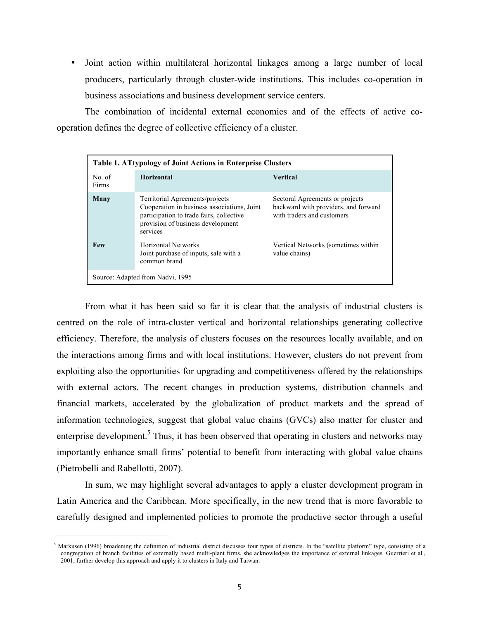• Joint action within multilateral horizontal linkages among a large number of local producers, particularly through cluster-wide institutions. This includes co-operation in business associations and business development service centers.

The combination of incidental external economies and of the effects of active cooperation defines the degree of collective efficiency of a cluster.

| <b>Table 1. ATtypology of Joint Actions in Enterprise Clusters</b> |                                                                                                                                                                             |                                                                                                       |  |  |  |  |  |
|--------------------------------------------------------------------|-----------------------------------------------------------------------------------------------------------------------------------------------------------------------------|-------------------------------------------------------------------------------------------------------|--|--|--|--|--|
| No. of<br>Firms                                                    | <b>Horizontal</b>                                                                                                                                                           | <b>Vertical</b>                                                                                       |  |  |  |  |  |
| Many                                                               | Territorial Agreements/projects<br>Cooperation in business associations, Joint<br>participation to trade fairs, collective<br>provision of business development<br>services | Sectoral Agreements or projects<br>backward with providers, and forward<br>with traders and customers |  |  |  |  |  |
| <b>Few</b>                                                         | Horizontal Networks<br>Joint purchase of inputs, sale with a<br>common brand                                                                                                | Vertical Networks (sometimes within<br>value chains)                                                  |  |  |  |  |  |
| Source: Adapted from Nadvi, 1995                                   |                                                                                                                                                                             |                                                                                                       |  |  |  |  |  |

From what it has been said so far it is clear that the analysis of industrial clusters is centred on the role of intra-cluster vertical and horizontal relationships generating collective efficiency. Therefore, the analysis of clusters focuses on the resources locally available, and on the interactions among firms and with local institutions. However, clusters do not prevent from exploiting also the opportunities for upgrading and competitiveness offered by the relationships with external actors. The recent changes in production systems, distribution channels and financial markets, accelerated by the globalization of product markets and the spread of information technologies, suggest that global value chains (GVCs) also matter for cluster and enterprise development.<sup>5</sup> Thus, it has been observed that operating in clusters and networks may importantly enhance small firms' potential to benefit from interacting with global value chains (Pietrobelli and Rabellotti, 2007).

In sum, we may highlight several advantages to apply a cluster development program in Latin America and the Caribbean. More specifically, in the new trend that is more favorable to carefully designed and implemented policies to promote the productive sector through a useful

!!!!!!!!!!!!!!!!!!!!!!!!!!!!!!!!!!!!!!!!!!!!!!!!!!!!!!!!!!!!

<sup>&</sup>lt;sup>5</sup> Markusen (1996) broadening the definition of industrial district discusses four types of districts. In the "satellite platform" type, consisting of a congregation of branch facilities of externally based multi-plant firms, she acknowledges the importance of external linkages. Guerrieri et al., 2001, further develop this approach and apply it to clusters in Italy and Taiwan.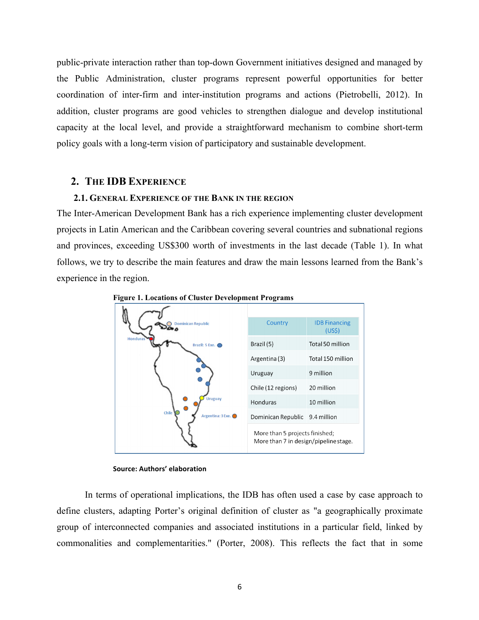public-private interaction rather than top-down Government initiatives designed and managed by the Public Administration, cluster programs represent powerful opportunities for better coordination of inter-firm and inter-institution programs and actions (Pietrobelli, 2012). In addition, cluster programs are good vehicles to strengthen dialogue and develop institutional capacity at the local level, and provide a straightforward mechanism to combine short-term policy goals with a long-term vision of participatory and sustainable development.

#### **2. THE IDB EXPERIENCE**

#### **2.1. GENERAL EXPERIENCE OF THE BANK IN THE REGION**

The Inter-American Development Bank has a rich experience implementing cluster development projects in Latin American and the Caribbean covering several countries and subnational regions and provinces, exceeding US\$300 worth of investments in the last decade (Table 1). In what follows, we try to describe the main features and draw the main lessons learned from the Bank's experience in the region.



**Figure 1. Locations of Cluster Development Programs**

In terms of operational implications, the IDB has often used a case by case approach to define clusters, adapting Porter's original definition of cluster as "a geographically proximate group of interconnected companies and associated institutions in a particular field, linked by commonalities and complementarities." (Porter, 2008). This reflects the fact that in some

**Source: Authors' elaboration**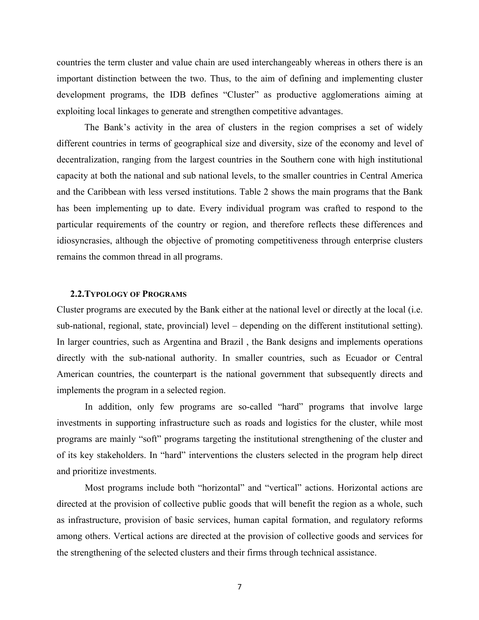countries the term cluster and value chain are used interchangeably whereas in others there is an important distinction between the two. Thus, to the aim of defining and implementing cluster development programs, the IDB defines "Cluster" as productive agglomerations aiming at exploiting local linkages to generate and strengthen competitive advantages.

The Bank's activity in the area of clusters in the region comprises a set of widely different countries in terms of geographical size and diversity, size of the economy and level of decentralization, ranging from the largest countries in the Southern cone with high institutional capacity at both the national and sub national levels, to the smaller countries in Central America and the Caribbean with less versed institutions. Table 2 shows the main programs that the Bank has been implementing up to date. Every individual program was crafted to respond to the particular requirements of the country or region, and therefore reflects these differences and idiosyncrasies, although the objective of promoting competitiveness through enterprise clusters remains the common thread in all programs.

#### **2.2.TYPOLOGY OF PROGRAMS**

Cluster programs are executed by the Bank either at the national level or directly at the local (i.e. sub-national, regional, state, provincial) level – depending on the different institutional setting). In larger countries, such as Argentina and Brazil , the Bank designs and implements operations directly with the sub-national authority. In smaller countries, such as Ecuador or Central American countries, the counterpart is the national government that subsequently directs and implements the program in a selected region.

In addition, only few programs are so-called "hard" programs that involve large investments in supporting infrastructure such as roads and logistics for the cluster, while most programs are mainly "soft" programs targeting the institutional strengthening of the cluster and of its key stakeholders. In "hard" interventions the clusters selected in the program help direct and prioritize investments.

Most programs include both "horizontal" and "vertical" actions. Horizontal actions are directed at the provision of collective public goods that will benefit the region as a whole, such as infrastructure, provision of basic services, human capital formation, and regulatory reforms among others. Vertical actions are directed at the provision of collective goods and services for the strengthening of the selected clusters and their firms through technical assistance.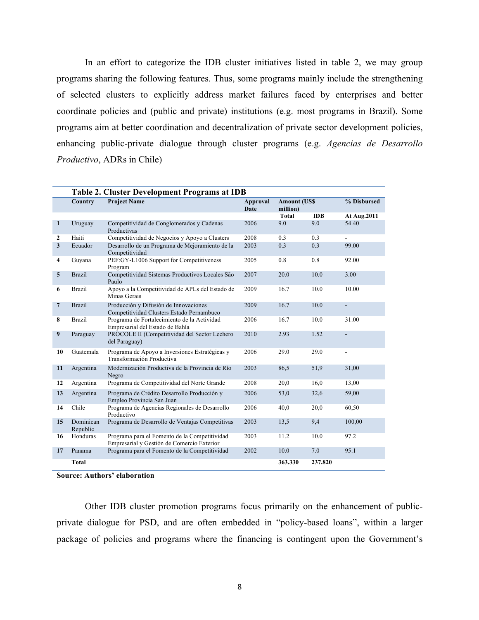In an effort to categorize the IDB cluster initiatives listed in table 2, we may group programs sharing the following features. Thus, some programs mainly include the strengthening of selected clusters to explicitly address market failures faced by enterprises and better coordinate policies and (public and private) institutions (e.g. most programs in Brazil). Some programs aim at better coordination and decentralization of private sector development policies, enhancing public-private dialogue through cluster programs (e.g. *Agencias de Desarrollo Productivo*, ADRs in Chile)

|                         | Table 2. Cluster Development Programs at IDB |                                                                                             |                         |                                  |            |                |  |  |
|-------------------------|----------------------------------------------|---------------------------------------------------------------------------------------------|-------------------------|----------------------------------|------------|----------------|--|--|
|                         | Country                                      | <b>Project Name</b>                                                                         | <b>Approval</b><br>Date | <b>Amount (US\$)</b><br>million) |            | % Disbursed    |  |  |
|                         |                                              |                                                                                             |                         | <b>Total</b>                     | <b>IDB</b> | At Aug.2011    |  |  |
| $\mathbf{1}$            | Uruguay                                      | Competitividad de Conglomerados y Cadenas<br>Productivas                                    | 2006                    | 9.0                              | 9.0        | 54.40          |  |  |
| $\mathbf{2}$            | Haiti                                        | Competitividad de Negocios y Apoyo a Clusters                                               | 2008                    | 0.3                              | 0.3        | $\overline{a}$ |  |  |
| $\overline{\mathbf{3}}$ | Ecuador                                      | Desarrollo de un Programa de Mejoramiento de la<br>Competitividad                           | 2003                    | 0.3                              | 0.3        | 99.00          |  |  |
| 4                       | Guyana                                       | PEF:GY-L1006 Support for Competitiveness<br>Program                                         | 2005                    | 0.8                              | 0.8        | 92.00          |  |  |
| 5                       | <b>Brazil</b>                                | Competitividad Sistemas Productivos Locales São<br>Paulo                                    | 2007                    | 20.0                             | 10.0       | 3.00           |  |  |
| 6                       | <b>Brazil</b>                                | Apoyo a la Competitividad de APLs del Estado de<br>Minas Gerais                             | 2009                    | 16.7                             | 10.0       | 10.00          |  |  |
| $\overline{7}$          | <b>Brazil</b>                                | Producción y Difusión de Innovaciones<br>Competitividad Clusters Estado Pernambuco          | 2009                    | 16.7                             | 10.0       | $\overline{a}$ |  |  |
| 8                       | <b>Brazil</b>                                | Programa de Fortalecimiento de la Actividad<br>Empresarial del Estado de Bahía              | 2006                    | 16.7                             | 10.0       | 31.00          |  |  |
| 9                       | Paraguay                                     | PROCOLE II (Competitividad del Sector Lechero<br>del Paraguay)                              | 2010                    | 2.93                             | 1.52       |                |  |  |
| 10                      | Guatemala                                    | Programa de Apoyo a Inversiones Estratégicas y<br>Transformación Productiva                 | 2006                    | 29.0                             | 29.0       |                |  |  |
| 11                      | Argentina                                    | Modernización Productiva de la Provincia de Río<br>Negro                                    | 2003                    | 86,5                             | 51,9       | 31,00          |  |  |
| 12                      | Argentina                                    | Programa de Competitividad del Norte Grande                                                 | 2008                    | 20,0                             | 16,0       | 13,00          |  |  |
| 13                      | Argentina                                    | Programa de Crédito Desarrollo Producción y<br>Empleo Provincia San Juan                    | 2006                    | 53,0                             | 32,6       | 59,00          |  |  |
| 14                      | Chile                                        | Programa de Agencias Regionales de Desarrollo<br>Productivo                                 | 2006                    | 40,0                             | 20,0       | 60,50          |  |  |
| 15                      | Dominican<br>Republic                        | Programa de Desarrollo de Ventajas Competitivas                                             | 2003                    | 13,5                             | 9,4        | 100,00         |  |  |
| 16                      | Honduras                                     | Programa para el Fomento de la Competitividad<br>Empresarial y Gestión de Comercio Exterior | 2003                    | 11.2                             | 10.0       | 97.2           |  |  |
| 17                      | Panama                                       | Programa para el Fomento de la Competitividad                                               | 2002                    | 10.0                             | 7.0        | 95.1           |  |  |
|                         | <b>Total</b>                                 |                                                                                             |                         | 363.330                          | 237.820    |                |  |  |

**Source: Authors' elaboration**

Other IDB cluster promotion programs focus primarily on the enhancement of publicprivate dialogue for PSD, and are often embedded in "policy-based loans", within a larger package of policies and programs where the financing is contingent upon the Government's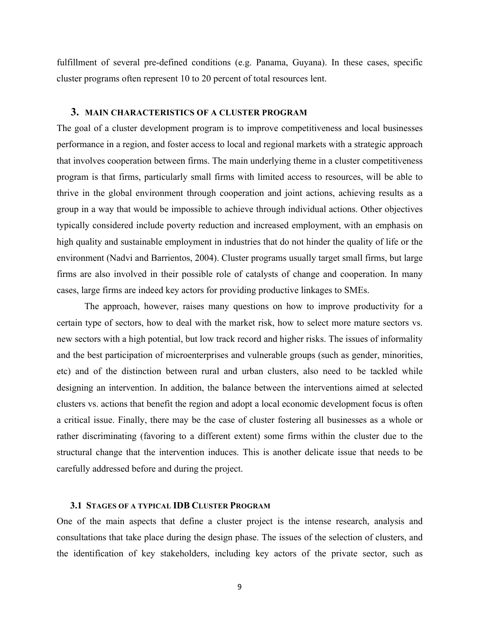fulfillment of several pre-defined conditions (e.g. Panama, Guyana). In these cases, specific cluster programs often represent 10 to 20 percent of total resources lent.

#### **3. MAIN CHARACTERISTICS OF A CLUSTER PROGRAM**

The goal of a cluster development program is to improve competitiveness and local businesses performance in a region, and foster access to local and regional markets with a strategic approach that involves cooperation between firms. The main underlying theme in a cluster competitiveness program is that firms, particularly small firms with limited access to resources, will be able to thrive in the global environment through cooperation and joint actions, achieving results as a group in a way that would be impossible to achieve through individual actions. Other objectives typically considered include poverty reduction and increased employment, with an emphasis on high quality and sustainable employment in industries that do not hinder the quality of life or the environment (Nadvi and Barrientos, 2004). Cluster programs usually target small firms, but large firms are also involved in their possible role of catalysts of change and cooperation. In many cases, large firms are indeed key actors for providing productive linkages to SMEs.

The approach, however, raises many questions on how to improve productivity for a certain type of sectors, how to deal with the market risk, how to select more mature sectors vs. new sectors with a high potential, but low track record and higher risks. The issues of informality and the best participation of microenterprises and vulnerable groups (such as gender, minorities, etc) and of the distinction between rural and urban clusters, also need to be tackled while designing an intervention. In addition, the balance between the interventions aimed at selected clusters vs. actions that benefit the region and adopt a local economic development focus is often a critical issue. Finally, there may be the case of cluster fostering all businesses as a whole or rather discriminating (favoring to a different extent) some firms within the cluster due to the structural change that the intervention induces. This is another delicate issue that needs to be carefully addressed before and during the project.

#### **3.1 STAGES OF A TYPICAL IDB CLUSTER PROGRAM**

One of the main aspects that define a cluster project is the intense research, analysis and consultations that take place during the design phase. The issues of the selection of clusters, and the identification of key stakeholders, including key actors of the private sector, such as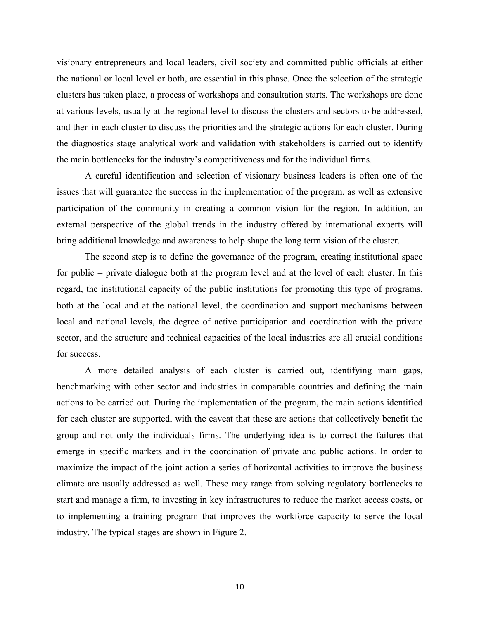visionary entrepreneurs and local leaders, civil society and committed public officials at either the national or local level or both, are essential in this phase. Once the selection of the strategic clusters has taken place, a process of workshops and consultation starts. The workshops are done at various levels, usually at the regional level to discuss the clusters and sectors to be addressed, and then in each cluster to discuss the priorities and the strategic actions for each cluster. During the diagnostics stage analytical work and validation with stakeholders is carried out to identify the main bottlenecks for the industry's competitiveness and for the individual firms.

A careful identification and selection of visionary business leaders is often one of the issues that will guarantee the success in the implementation of the program, as well as extensive participation of the community in creating a common vision for the region. In addition, an external perspective of the global trends in the industry offered by international experts will bring additional knowledge and awareness to help shape the long term vision of the cluster.

The second step is to define the governance of the program, creating institutional space for public – private dialogue both at the program level and at the level of each cluster. In this regard, the institutional capacity of the public institutions for promoting this type of programs, both at the local and at the national level, the coordination and support mechanisms between local and national levels, the degree of active participation and coordination with the private sector, and the structure and technical capacities of the local industries are all crucial conditions for success.

A more detailed analysis of each cluster is carried out, identifying main gaps, benchmarking with other sector and industries in comparable countries and defining the main actions to be carried out. During the implementation of the program, the main actions identified for each cluster are supported, with the caveat that these are actions that collectively benefit the group and not only the individuals firms. The underlying idea is to correct the failures that emerge in specific markets and in the coordination of private and public actions. In order to maximize the impact of the joint action a series of horizontal activities to improve the business climate are usually addressed as well. These may range from solving regulatory bottlenecks to start and manage a firm, to investing in key infrastructures to reduce the market access costs, or to implementing a training program that improves the workforce capacity to serve the local industry. The typical stages are shown in Figure 2.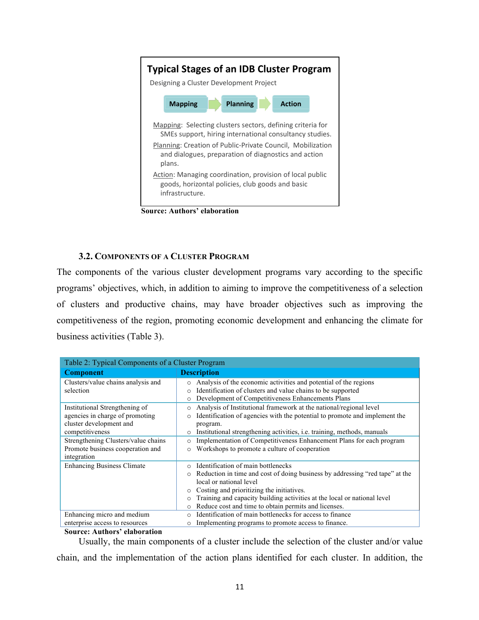

**Source: Authors' elaboration**

#### **3.2. COMPONENTS OF A CLUSTER PROGRAM**

The components of the various cluster development programs vary according to the specific programs' objectives, which, in addition to aiming to improve the competitiveness of a selection of clusters and productive chains, may have broader objectives such as improving the competitiveness of the region, promoting economic development and enhancing the climate for business activities (Table 3).

| Table 2: Typical Components of a Cluster Program |                                                                                           |  |  |  |  |
|--------------------------------------------------|-------------------------------------------------------------------------------------------|--|--|--|--|
| <b>Component</b>                                 | <b>Description</b>                                                                        |  |  |  |  |
| Clusters/value chains analysis and               | Analysis of the economic activities and potential of the regions<br>$\circ$               |  |  |  |  |
| selection                                        | Identification of clusters and value chains to be supported<br>$\circ$                    |  |  |  |  |
|                                                  | Development of Competitiveness Enhancements Plans<br>$\circ$                              |  |  |  |  |
| Institutional Strengthening of                   | Analysis of Institutional framework at the national/regional level<br>$\circ$             |  |  |  |  |
| agencies in charge of promoting                  | Identification of agencies with the potential to promote and implement the<br>$\circ$     |  |  |  |  |
| cluster development and                          | program.                                                                                  |  |  |  |  |
| competitiveness                                  | Institutional strengthening activities, <i>i.e.</i> training, methods, manuals<br>$\circ$ |  |  |  |  |
| Strengthening Clusters/value chains              | Implementation of Competitiveness Enhancement Plans for each program<br>$\circ$           |  |  |  |  |
| Promote business cooperation and                 | Workshops to promote a culture of cooperation<br>$\circ$                                  |  |  |  |  |
| integration                                      |                                                                                           |  |  |  |  |
| <b>Enhancing Business Climate</b>                | Identification of main bottlenecks<br>$\bigcap$                                           |  |  |  |  |
|                                                  | Reduction in time and cost of doing business by addressing "red tape" at the<br>$\circ$   |  |  |  |  |
|                                                  | local or national level                                                                   |  |  |  |  |
|                                                  | Costing and prioritizing the initiatives.<br>$\circ$                                      |  |  |  |  |
|                                                  | Training and capacity building activities at the local or national level<br>$\circ$       |  |  |  |  |
|                                                  | Reduce cost and time to obtain permits and licenses.<br>$\circ$                           |  |  |  |  |
| Enhancing micro and medium                       | Identification of main bottlenecks for access to finance<br>$\circ$                       |  |  |  |  |
| enterprise access to resources                   | Implementing programs to promote access to finance.<br>$\circ$                            |  |  |  |  |

**Source: Authors' elaboration**

Usually, the main components of a cluster include the selection of the cluster and/or value chain, and the implementation of the action plans identified for each cluster. In addition, the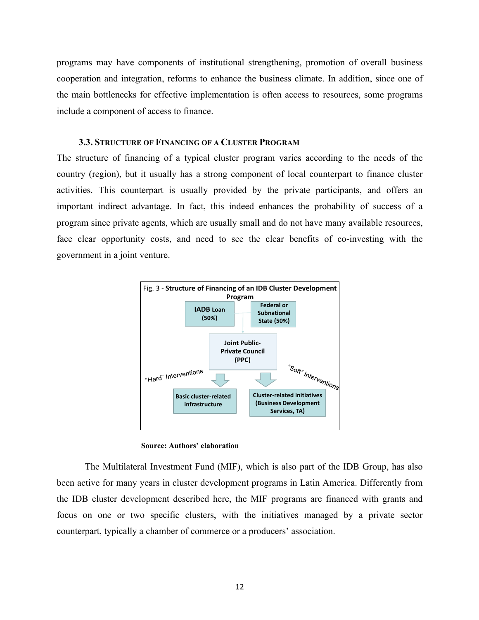programs may have components of institutional strengthening, promotion of overall business cooperation and integration, reforms to enhance the business climate. In addition, since one of the main bottlenecks for effective implementation is often access to resources, some programs include a component of access to finance.

#### **3.3. STRUCTURE OF FINANCING OF A CLUSTER PROGRAM**

The structure of financing of a typical cluster program varies according to the needs of the country (region), but it usually has a strong component of local counterpart to finance cluster activities. This counterpart is usually provided by the private participants, and offers an important indirect advantage. In fact, this indeed enhances the probability of success of a program since private agents, which are usually small and do not have many available resources, face clear opportunity costs, and need to see the clear benefits of co-investing with the government in a joint venture.



**Source: Authors' elaboration**

The Multilateral Investment Fund (MIF), which is also part of the IDB Group, has also been active for many years in cluster development programs in Latin America. Differently from the IDB cluster development described here, the MIF programs are financed with grants and focus on one or two specific clusters, with the initiatives managed by a private sector counterpart, typically a chamber of commerce or a producers' association.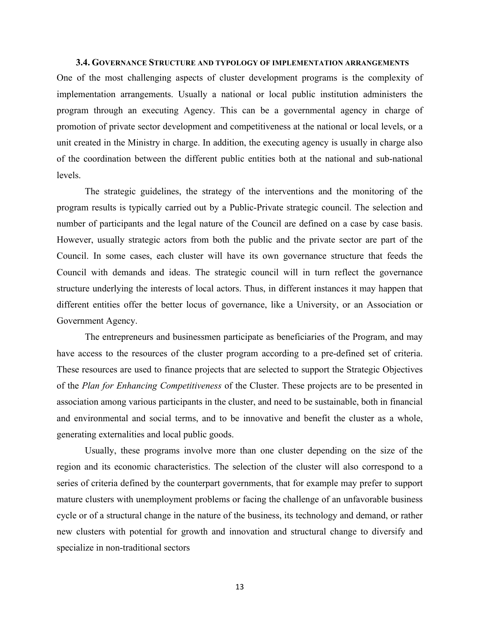#### **3.4. GOVERNANCE STRUCTURE AND TYPOLOGY OF IMPLEMENTATION ARRANGEMENTS**

One of the most challenging aspects of cluster development programs is the complexity of implementation arrangements. Usually a national or local public institution administers the program through an executing Agency. This can be a governmental agency in charge of promotion of private sector development and competitiveness at the national or local levels, or a unit created in the Ministry in charge. In addition, the executing agency is usually in charge also of the coordination between the different public entities both at the national and sub-national levels.

The strategic guidelines, the strategy of the interventions and the monitoring of the program results is typically carried out by a Public-Private strategic council. The selection and number of participants and the legal nature of the Council are defined on a case by case basis. However, usually strategic actors from both the public and the private sector are part of the Council. In some cases, each cluster will have its own governance structure that feeds the Council with demands and ideas. The strategic council will in turn reflect the governance structure underlying the interests of local actors. Thus, in different instances it may happen that different entities offer the better locus of governance, like a University, or an Association or Government Agency.

The entrepreneurs and businessmen participate as beneficiaries of the Program, and may have access to the resources of the cluster program according to a pre-defined set of criteria. These resources are used to finance projects that are selected to support the Strategic Objectives of the *Plan for Enhancing Competitiveness* of the Cluster. These projects are to be presented in association among various participants in the cluster, and need to be sustainable, both in financial and environmental and social terms, and to be innovative and benefit the cluster as a whole, generating externalities and local public goods.

Usually, these programs involve more than one cluster depending on the size of the region and its economic characteristics. The selection of the cluster will also correspond to a series of criteria defined by the counterpart governments, that for example may prefer to support mature clusters with unemployment problems or facing the challenge of an unfavorable business cycle or of a structural change in the nature of the business, its technology and demand, or rather new clusters with potential for growth and innovation and structural change to diversify and specialize in non-traditional sectors

13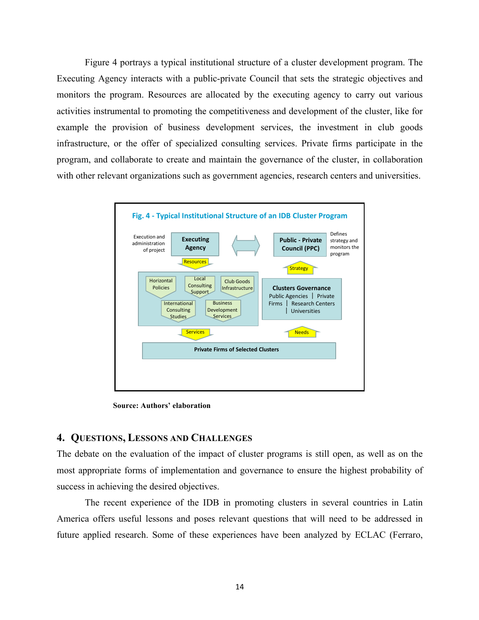Figure 4 portrays a typical institutional structure of a cluster development program. The Executing Agency interacts with a public-private Council that sets the strategic objectives and monitors the program. Resources are allocated by the executing agency to carry out various activities instrumental to promoting the competitiveness and development of the cluster, like for example the provision of business development services, the investment in club goods infrastructure, or the offer of specialized consulting services. Private firms participate in the program, and collaborate to create and maintain the governance of the cluster, in collaboration with other relevant organizations such as government agencies, research centers and universities.



**Source: Authors' elaboration**

#### **4. QUESTIONS, LESSONS AND CHALLENGES**

The debate on the evaluation of the impact of cluster programs is still open, as well as on the most appropriate forms of implementation and governance to ensure the highest probability of success in achieving the desired objectives.

The recent experience of the IDB in promoting clusters in several countries in Latin America offers useful lessons and poses relevant questions that will need to be addressed in future applied research. Some of these experiences have been analyzed by ECLAC (Ferraro,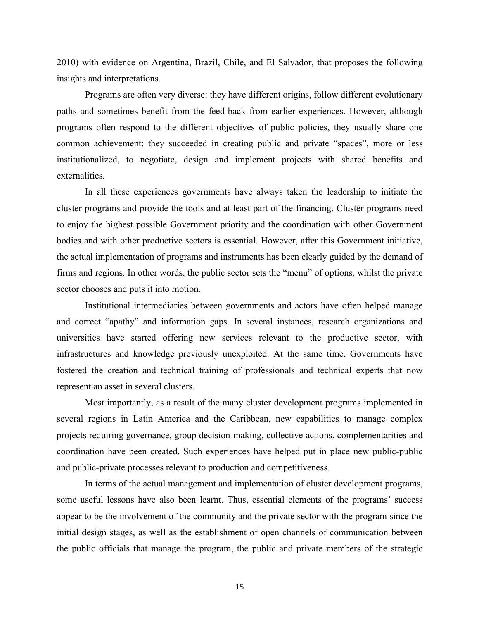2010) with evidence on Argentina, Brazil, Chile, and El Salvador, that proposes the following insights and interpretations.

Programs are often very diverse: they have different origins, follow different evolutionary paths and sometimes benefit from the feed-back from earlier experiences. However, although programs often respond to the different objectives of public policies, they usually share one common achievement: they succeeded in creating public and private "spaces", more or less institutionalized, to negotiate, design and implement projects with shared benefits and externalities.

In all these experiences governments have always taken the leadership to initiate the cluster programs and provide the tools and at least part of the financing. Cluster programs need to enjoy the highest possible Government priority and the coordination with other Government bodies and with other productive sectors is essential. However, after this Government initiative, the actual implementation of programs and instruments has been clearly guided by the demand of firms and regions. In other words, the public sector sets the "menu" of options, whilst the private sector chooses and puts it into motion.

Institutional intermediaries between governments and actors have often helped manage and correct "apathy" and information gaps. In several instances, research organizations and universities have started offering new services relevant to the productive sector, with infrastructures and knowledge previously unexploited. At the same time, Governments have fostered the creation and technical training of professionals and technical experts that now represent an asset in several clusters.

Most importantly, as a result of the many cluster development programs implemented in several regions in Latin America and the Caribbean, new capabilities to manage complex projects requiring governance, group decision-making, collective actions, complementarities and coordination have been created. Such experiences have helped put in place new public-public and public-private processes relevant to production and competitiveness.

In terms of the actual management and implementation of cluster development programs, some useful lessons have also been learnt. Thus, essential elements of the programs' success appear to be the involvement of the community and the private sector with the program since the initial design stages, as well as the establishment of open channels of communication between the public officials that manage the program, the public and private members of the strategic

15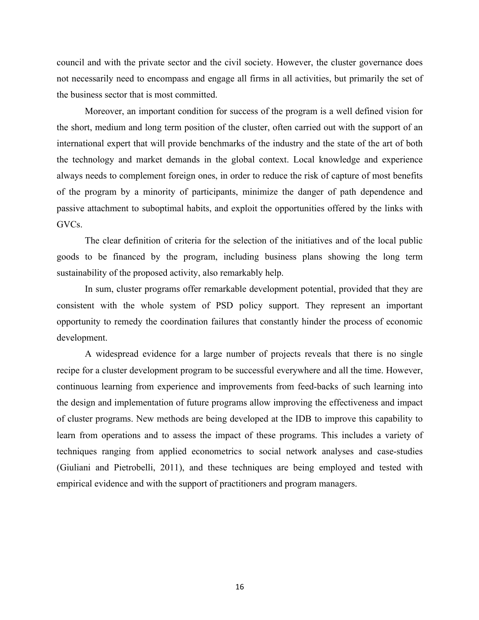council and with the private sector and the civil society. However, the cluster governance does not necessarily need to encompass and engage all firms in all activities, but primarily the set of the business sector that is most committed.

Moreover, an important condition for success of the program is a well defined vision for the short, medium and long term position of the cluster, often carried out with the support of an international expert that will provide benchmarks of the industry and the state of the art of both the technology and market demands in the global context. Local knowledge and experience always needs to complement foreign ones, in order to reduce the risk of capture of most benefits of the program by a minority of participants, minimize the danger of path dependence and passive attachment to suboptimal habits, and exploit the opportunities offered by the links with GVCs.

The clear definition of criteria for the selection of the initiatives and of the local public goods to be financed by the program, including business plans showing the long term sustainability of the proposed activity, also remarkably help.

In sum, cluster programs offer remarkable development potential, provided that they are consistent with the whole system of PSD policy support. They represent an important opportunity to remedy the coordination failures that constantly hinder the process of economic development.

A widespread evidence for a large number of projects reveals that there is no single recipe for a cluster development program to be successful everywhere and all the time. However, continuous learning from experience and improvements from feed-backs of such learning into the design and implementation of future programs allow improving the effectiveness and impact of cluster programs. New methods are being developed at the IDB to improve this capability to learn from operations and to assess the impact of these programs. This includes a variety of techniques ranging from applied econometrics to social network analyses and case-studies (Giuliani and Pietrobelli, 2011), and these techniques are being employed and tested with empirical evidence and with the support of practitioners and program managers.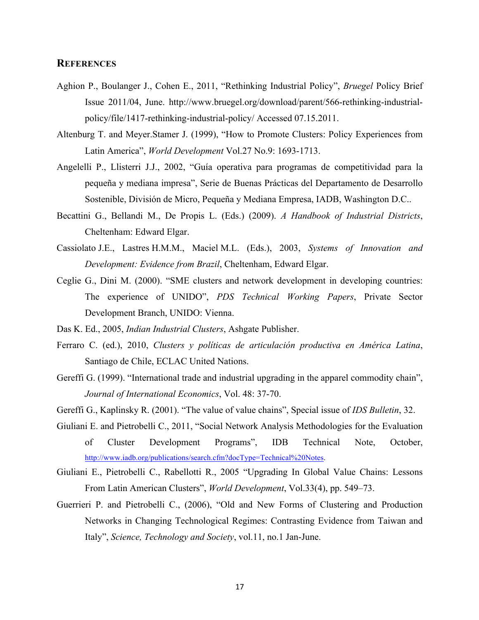#### **REFERENCES**

- Aghion P., Boulanger J., Cohen E., 2011, "Rethinking Industrial Policy", *Bruegel* Policy Brief Issue 2011/04, June. http://www.bruegel.org/download/parent/566-rethinking-industrialpolicy/file/1417-rethinking-industrial-policy/ Accessed 07.15.2011.
- Altenburg T. and Meyer.Stamer J. (1999), "How to Promote Clusters: Policy Experiences from Latin America", *World Development* Vol.27 No.9: 1693-1713.
- Angelelli P., Llisterri J.J., 2002, "Guía operativa para programas de competitividad para la pequeña y mediana impresa", Serie de Buenas Prácticas del Departamento de Desarrollo Sostenible, División de Micro, Pequeña y Mediana Empresa, IADB, Washington D.C..
- Becattini G., Bellandi M., De Propis L. (Eds.) (2009). *A Handbook of Industrial Districts*, Cheltenham: Edward Elgar.
- Cassiolato J.E., Lastres H.M.M., Maciel M.L. (Eds.), 2003, *Systems of Innovation and Development: Evidence from Brazil*, Cheltenham, Edward Elgar.
- Ceglie G., Dini M. (2000). "SME clusters and network development in developing countries: The experience of UNIDO", *PDS Technical Working Papers*, Private Sector Development Branch, UNIDO: Vienna.
- Das K. Ed., 2005, *Indian Industrial Clusters*, Ashgate Publisher.
- Ferraro C. (ed.), 2010, *Clusters y políticas de articulación productiva en América Latina*, Santiago de Chile, ECLAC United Nations.
- Gereffi G. (1999). "International trade and industrial upgrading in the apparel commodity chain", *Journal of International Economics*, Vol. 48: 37-70.
- Gereffi G., Kaplinsky R. (2001). "The value of value chains", Special issue of *IDS Bulletin*, 32.
- Giuliani E. and Pietrobelli C., 2011, "Social Network Analysis Methodologies for the Evaluation of Cluster Development Programs", IDB Technical Note, October, http://www.iadb.org/publications/search.cfm?docType=Technical%20Notes.
- Giuliani E., Pietrobelli C., Rabellotti R., 2005 "Upgrading In Global Value Chains: Lessons From Latin American Clusters", *World Development*, Vol.33(4), pp. 549–73.
- Guerrieri P. and Pietrobelli C., (2006), "Old and New Forms of Clustering and Production Networks in Changing Technological Regimes: Contrasting Evidence from Taiwan and Italy", *Science, Technology and Society*, vol.11, no.1 Jan-June.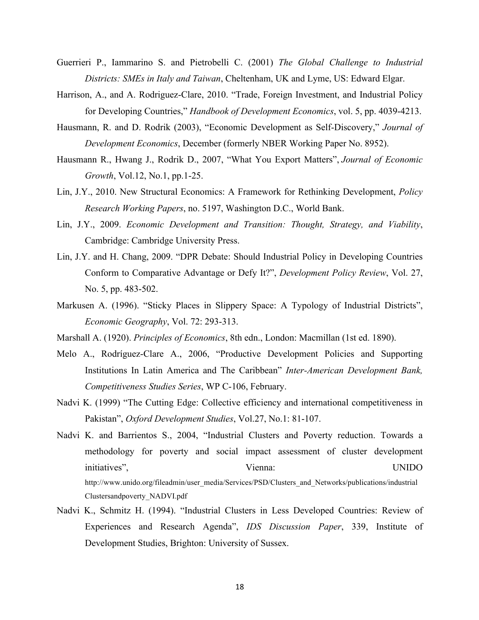- Guerrieri P., Iammarino S. and Pietrobelli C. (2001) *The Global Challenge to Industrial Districts: SMEs in Italy and Taiwan*, Cheltenham, UK and Lyme, US: Edward Elgar.
- Harrison, A., and A. Rodriguez-Clare, 2010. "Trade, Foreign Investment, and Industrial Policy for Developing Countries," *Handbook of Development Economics*, vol. 5, pp. 4039-4213.
- Hausmann, R. and D. Rodrik (2003), "Economic Development as Self-Discovery," *Journal of Development Economics*, December (formerly NBER Working Paper No. 8952).
- Hausmann R., Hwang J., Rodrik D., 2007, "What You Export Matters", *Journal of Economic Growth*, Vol.12, No.1, pp.1-25.
- Lin, J.Y., 2010. New Structural Economics: A Framework for Rethinking Development, *Policy Research Working Papers*, no. 5197, Washington D.C., World Bank.
- Lin, J.Y., 2009. *Economic Development and Transition: Thought, Strategy, and Viability*, Cambridge: Cambridge University Press.
- Lin, J.Y. and H. Chang, 2009. "DPR Debate: Should Industrial Policy in Developing Countries Conform to Comparative Advantage or Defy It?", *Development Policy Review*, Vol. 27, No. 5, pp. 483-502.
- Markusen A. (1996). "Sticky Places in Slippery Space: A Typology of Industrial Districts", *Economic Geography*, Vol. 72: 293-313.
- Marshall A. (1920). *Principles of Economics*, 8th edn., London: Macmillan (1st ed. 1890).
- Melo A., Rodríguez-Clare A., 2006, "Productive Development Policies and Supporting Institutions In Latin America and The Caribbean" *Inter-American Development Bank, Competitiveness Studies Series*, WP C-106, February.
- Nadvi K. (1999) "The Cutting Edge: Collective efficiency and international competitiveness in Pakistan", *Oxford Development Studies*, Vol.27, No.1: 81-107.
- Nadvi K. and Barrientos S., 2004, "Industrial Clusters and Poverty reduction. Towards a methodology for poverty and social impact assessment of cluster development initiatives", Vienna: UNIDO http://www.unido.org/fileadmin/user\_media/Services/PSD/Clusters\_and\_Networks/publications/industrial Clustersandpoverty\_NADVI.pdf
- Nadvi K., Schmitz H. (1994). "Industrial Clusters in Less Developed Countries: Review of Experiences and Research Agenda", *IDS Discussion Paper*, 339, Institute of Development Studies, Brighton: University of Sussex.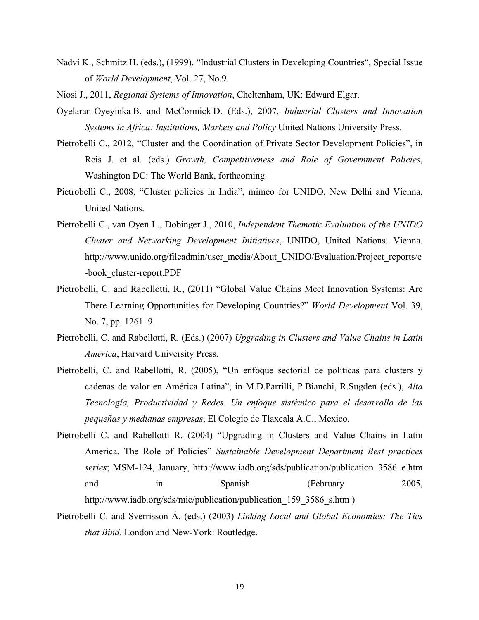- Nadvi K., Schmitz H. (eds.), (1999). "Industrial Clusters in Developing Countries", Special Issue of *World Development*, Vol. 27, No.9.
- Niosi J., 2011, *Regional Systems of Innovation*, Cheltenham, UK: Edward Elgar.
- Oyelaran-Oyeyinka B. and McCormick D. (Eds.), 2007, *Industrial Clusters and Innovation Systems in Africa: Institutions, Markets and Policy* United Nations University Press.
- Pietrobelli C., 2012, "Cluster and the Coordination of Private Sector Development Policies", in Reis J. et al. (eds.) *Growth, Competitiveness and Role of Government Policies*, Washington DC: The World Bank, forthcoming.
- Pietrobelli C., 2008, "Cluster policies in India", mimeo for UNIDO, New Delhi and Vienna, United Nations.
- Pietrobelli C., van Oyen L., Dobinger J., 2010, *Independent Thematic Evaluation of the UNIDO Cluster and Networking Development Initiatives*, UNIDO, United Nations, Vienna. http://www.unido.org/fileadmin/user\_media/About\_UNIDO/Evaluation/Project\_reports/e -book\_cluster-report.PDF
- Pietrobelli, C. and Rabellotti, R., (2011) "Global Value Chains Meet Innovation Systems: Are There Learning Opportunities for Developing Countries?" *World Development* Vol. 39, No. 7, pp. 1261–9.
- Pietrobelli, C. and Rabellotti, R. (Eds.) (2007) *Upgrading in Clusters and Value Chains in Latin America*, Harvard University Press.
- Pietrobelli, C. and Rabellotti, R. (2005), "Un enfoque sectorial de políticas para clusters y cadenas de valor en América Latina", in M.D.Parrilli, P.Bianchi, R.Sugden (eds.), *Alta Tecnología, Productividad y Redes. Un enfoque sistémico para el desarrollo de las pequeñas y medianas empresas*, El Colegio de Tlaxcala A.C., Mexico.
- Pietrobelli C. and Rabellotti R. (2004) "Upgrading in Clusters and Value Chains in Latin America. The Role of Policies" *Sustainable Development Department Best practices series*; MSM-124, January, http://www.iadb.org/sds/publication/publication\_3586\_e.htm and in Spanish (February 2005, http://www.iadb.org/sds/mic/publication/publication 159 3586 s.htm )
- Pietrobelli C. and Sverrisson Á. (eds.) (2003) *Linking Local and Global Economies: The Ties that Bind*. London and New-York: Routledge.